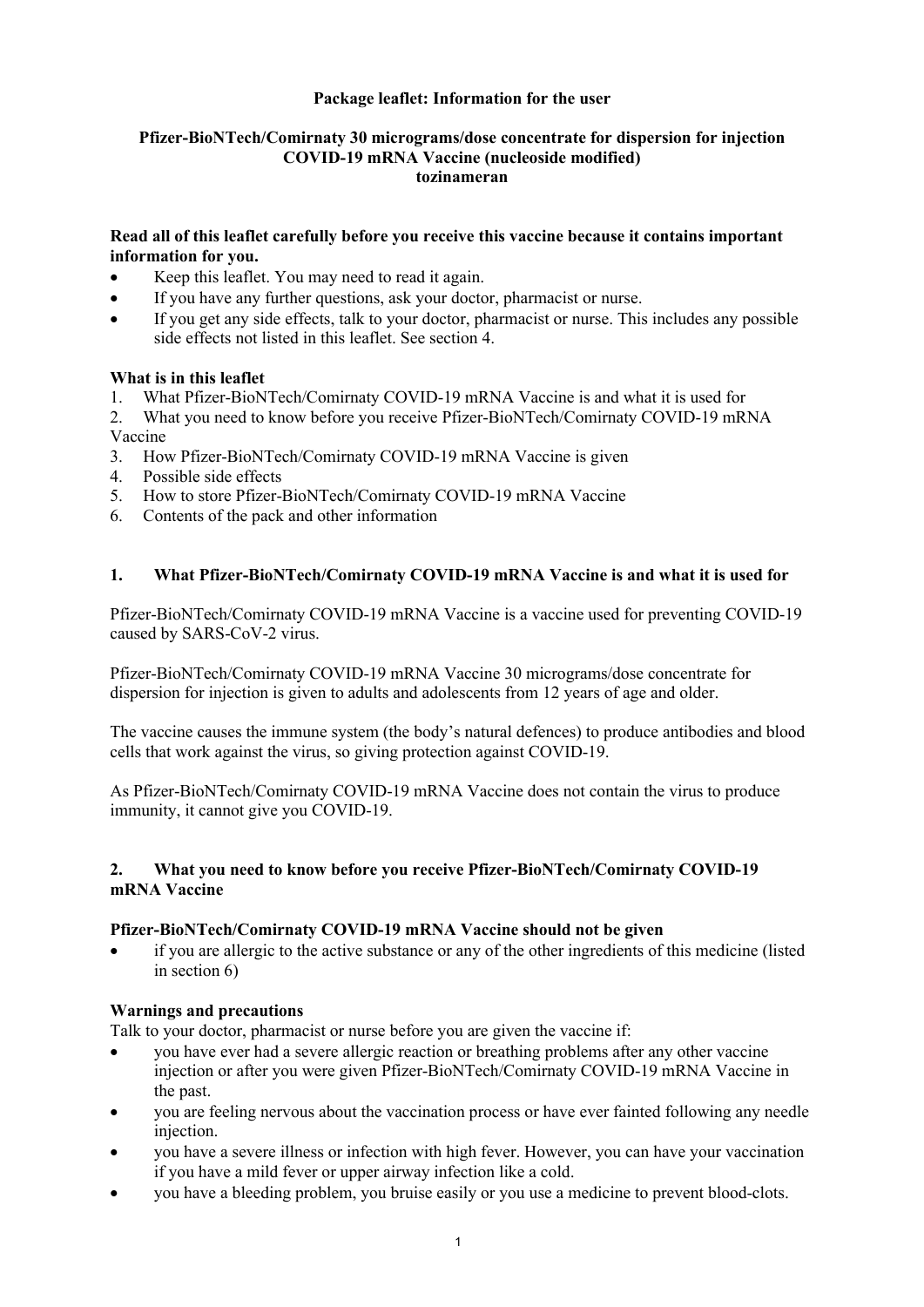## **Package leaflet: Information for the user**

## **Pfizer-BioNTech/Comirnaty 30 micrograms/dose concentrate for dispersion for injection COVID-19 mRNA Vaccine (nucleoside modified) tozinameran**

## **Read all of this leaflet carefully before you receive this vaccine because it contains important information for you.**

- Keep this leaflet. You may need to read it again.
- If you have any further questions, ask your doctor, pharmacist or nurse.
- If you get any side effects, talk to your doctor, pharmacist or nurse. This includes any possible side effects not listed in this leaflet. See section 4.

#### **What is in this leaflet**

- 1. What Pfizer-BioNTech/Comirnaty COVID-19 mRNA Vaccine is and what it is used for
- 2. What you need to know before you receive Pfizer-BioNTech/Comirnaty COVID-19 mRNA
- Vaccine
- 3. How Pfizer-BioNTech/Comirnaty COVID-19 mRNA Vaccine is given
- 4. Possible side effects
- 5. How to store Pfizer-BioNTech/Comirnaty COVID-19 mRNA Vaccine
- 6. Contents of the pack and other information

## **1. What Pfizer-BioNTech/Comirnaty COVID-19 mRNA Vaccine is and what it is used for**

Pfizer-BioNTech/Comirnaty COVID-19 mRNA Vaccine is a vaccine used for preventing COVID-19 caused by SARS-CoV-2 virus.

Pfizer-BioNTech/Comirnaty COVID-19 mRNA Vaccine 30 micrograms/dose concentrate for dispersion for injection is given to adults and adolescents from 12 years of age and older.

The vaccine causes the immune system (the body's natural defences) to produce antibodies and blood cells that work against the virus, so giving protection against COVID-19.

As Pfizer-BioNTech/Comirnaty COVID-19 mRNA Vaccine does not contain the virus to produce immunity, it cannot give you COVID-19.

## **2. What you need to know before you receive Pfizer-BioNTech/Comirnaty COVID-19 mRNA Vaccine**

#### **Pfizer-BioNTech/Comirnaty COVID-19 mRNA Vaccine should not be given**

 if you are allergic to the active substance or any of the other ingredients of this medicine (listed in section 6)

#### **Warnings and precautions**

Talk to your doctor, pharmacist or nurse before you are given the vaccine if:

- you have ever had a severe allergic reaction or breathing problems after any other vaccine injection or after you were given Pfizer-BioNTech/Comirnaty COVID-19 mRNA Vaccine in the past.
- you are feeling nervous about the vaccination process or have ever fainted following any needle injection.
- you have a severe illness or infection with high fever. However, you can have your vaccination if you have a mild fever or upper airway infection like a cold.
- you have a bleeding problem, you bruise easily or you use a medicine to prevent blood-clots.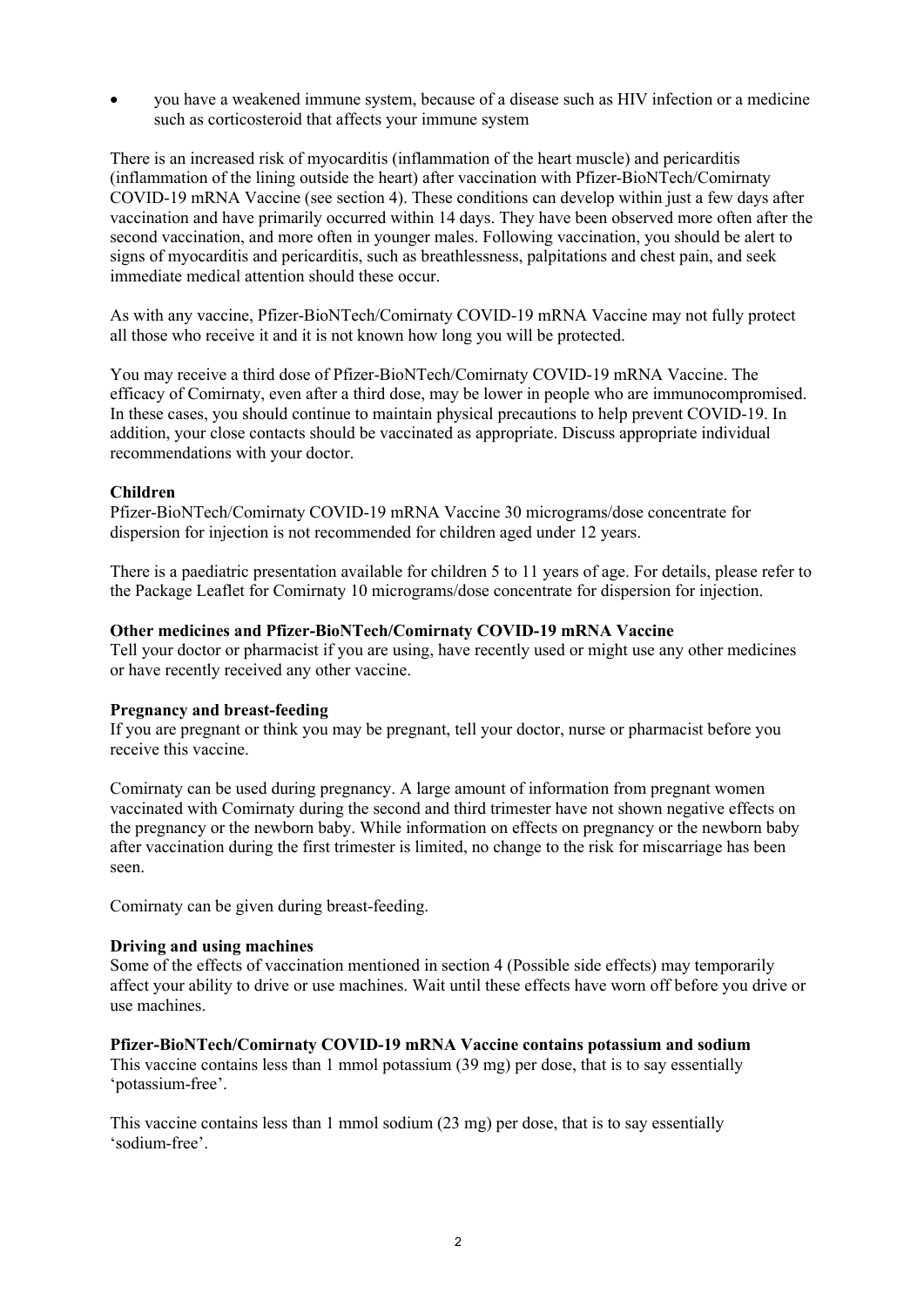you have a weakened immune system, because of a disease such as HIV infection or a medicine such as corticosteroid that affects your immune system

There is an increased risk of myocarditis (inflammation of the heart muscle) and pericarditis (inflammation of the lining outside the heart) after vaccination with Pfizer-BioNTech/Comirnaty COVID-19 mRNA Vaccine (see section 4). These conditions can develop within just a few days after vaccination and have primarily occurred within 14 days. They have been observed more often after the second vaccination, and more often in younger males. Following vaccination, you should be alert to signs of myocarditis and pericarditis, such as breathlessness, palpitations and chest pain, and seek immediate medical attention should these occur.

As with any vaccine, Pfizer-BioNTech/Comirnaty COVID-19 mRNA Vaccine may not fully protect all those who receive it and it is not known how long you will be protected.

You may receive a third dose of Pfizer-BioNTech/Comirnaty COVID-19 mRNA Vaccine. The efficacy of Comirnaty, even after a third dose, may be lower in people who are immunocompromised. In these cases, you should continue to maintain physical precautions to help prevent COVID-19. In addition, your close contacts should be vaccinated as appropriate. Discuss appropriate individual recommendations with your doctor.

#### **Children**

Pfizer-BioNTech/Comirnaty COVID-19 mRNA Vaccine 30 micrograms/dose concentrate for dispersion for injection is not recommended for children aged under 12 years.

There is a paediatric presentation available for children 5 to 11 years of age. For details, please refer to the Package Leaflet for Comirnaty 10 micrograms/dose concentrate for dispersion for injection.

#### **Other medicines and Pfizer-BioNTech/Comirnaty COVID-19 mRNA Vaccine**

Tell your doctor or pharmacist if you are using, have recently used or might use any other medicines or have recently received any other vaccine.

#### **Pregnancy and breast-feeding**

If you are pregnant or think you may be pregnant, tell your doctor, nurse or pharmacist before you receive this vaccine.

Comirnaty can be used during pregnancy. A large amount of information from pregnant women vaccinated with Comirnaty during the second and third trimester have not shown negative effects on the pregnancy or the newborn baby. While information on effects on pregnancy or the newborn baby after vaccination during the first trimester is limited, no change to the risk for miscarriage has been seen.

Comirnaty can be given during breast-feeding.

#### **Driving and using machines**

Some of the effects of vaccination mentioned in section 4 (Possible side effects) may temporarily affect your ability to drive or use machines. Wait until these effects have worn off before you drive or use machines.

#### **Pfizer-BioNTech/Comirnaty COVID-19 mRNA Vaccine contains potassium and sodium**

This vaccine contains less than 1 mmol potassium (39 mg) per dose, that is to say essentially 'potassium-free'.

This vaccine contains less than 1 mmol sodium (23 mg) per dose, that is to say essentially 'sodium-free'.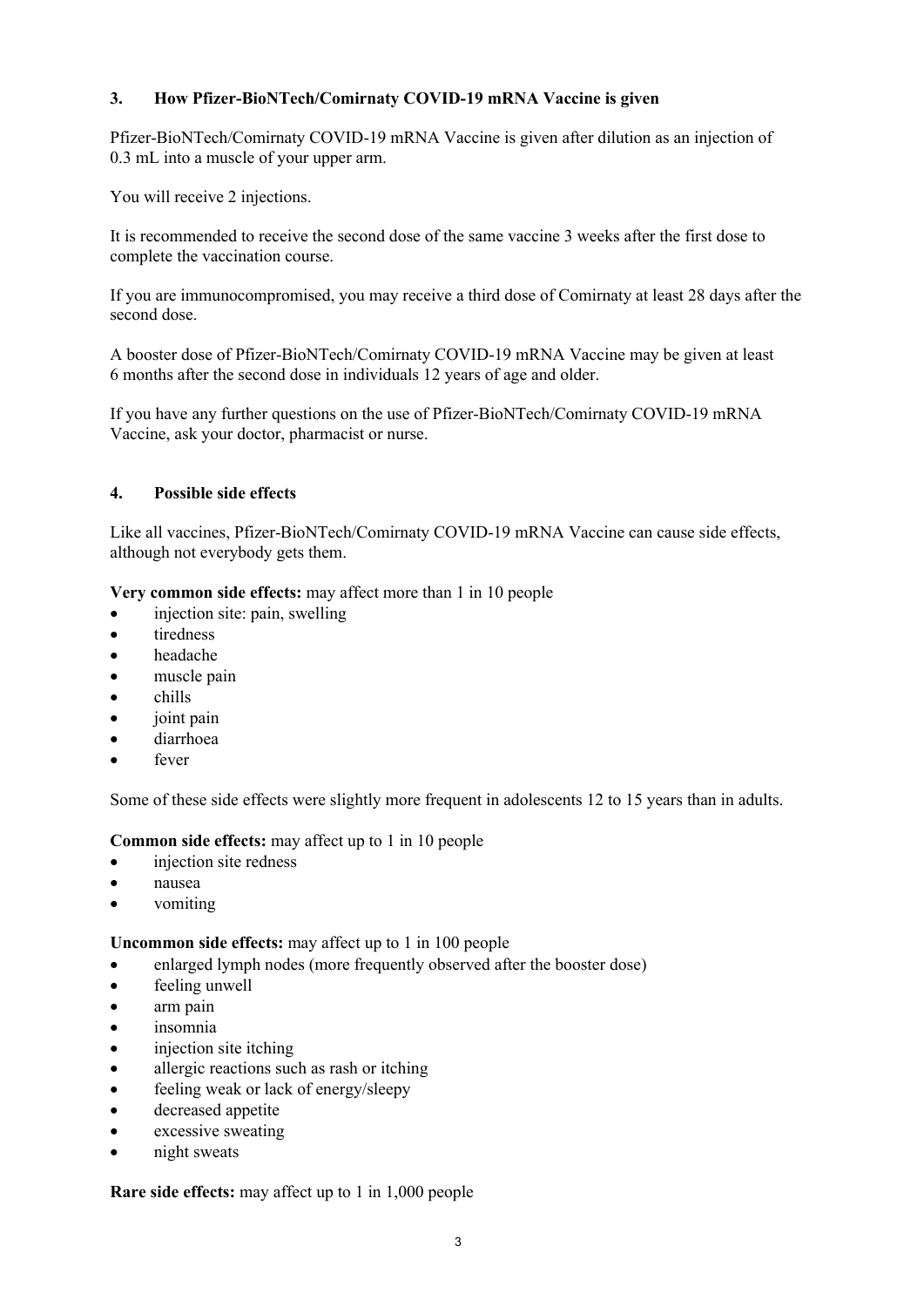## **3. How Pfizer-BioNTech/Comirnaty COVID-19 mRNA Vaccine is given**

Pfizer-BioNTech/Comirnaty COVID-19 mRNA Vaccine is given after dilution as an injection of 0.3 mL into a muscle of your upper arm.

You will receive 2 injections.

It is recommended to receive the second dose of the same vaccine 3 weeks after the first dose to complete the vaccination course.

If you are immunocompromised, you may receive a third dose of Comirnaty at least 28 days after the second dose.

A booster dose of Pfizer-BioNTech/Comirnaty COVID-19 mRNA Vaccine may be given at least 6 months after the second dose in individuals 12 years of age and older.

If you have any further questions on the use of Pfizer-BioNTech/Comirnaty COVID-19 mRNA Vaccine, ask your doctor, pharmacist or nurse.

## **4. Possible side effects**

Like all vaccines, Pfizer-BioNTech/Comirnaty COVID-19 mRNA Vaccine can cause side effects, although not everybody gets them.

**Very common side effects:** may affect more than 1 in 10 people

- injection site: pain, swelling
- tiredness
- headache
- muscle pain
- chills
- joint pain
- diarrhoea
- fever

Some of these side effects were slightly more frequent in adolescents 12 to 15 years than in adults.

**Common side effects:** may affect up to 1 in 10 people

- injection site redness
- nausea
- vomiting

**Uncommon side effects:** may affect up to 1 in 100 people

- enlarged lymph nodes (more frequently observed after the booster dose)
- feeling unwell
- arm pain
- insomnia
- injection site itching
- allergic reactions such as rash or itching
- feeling weak or lack of energy/sleepy
- decreased appetite
- excessive sweating
- night sweats

**Rare side effects:** may affect up to 1 in 1,000 people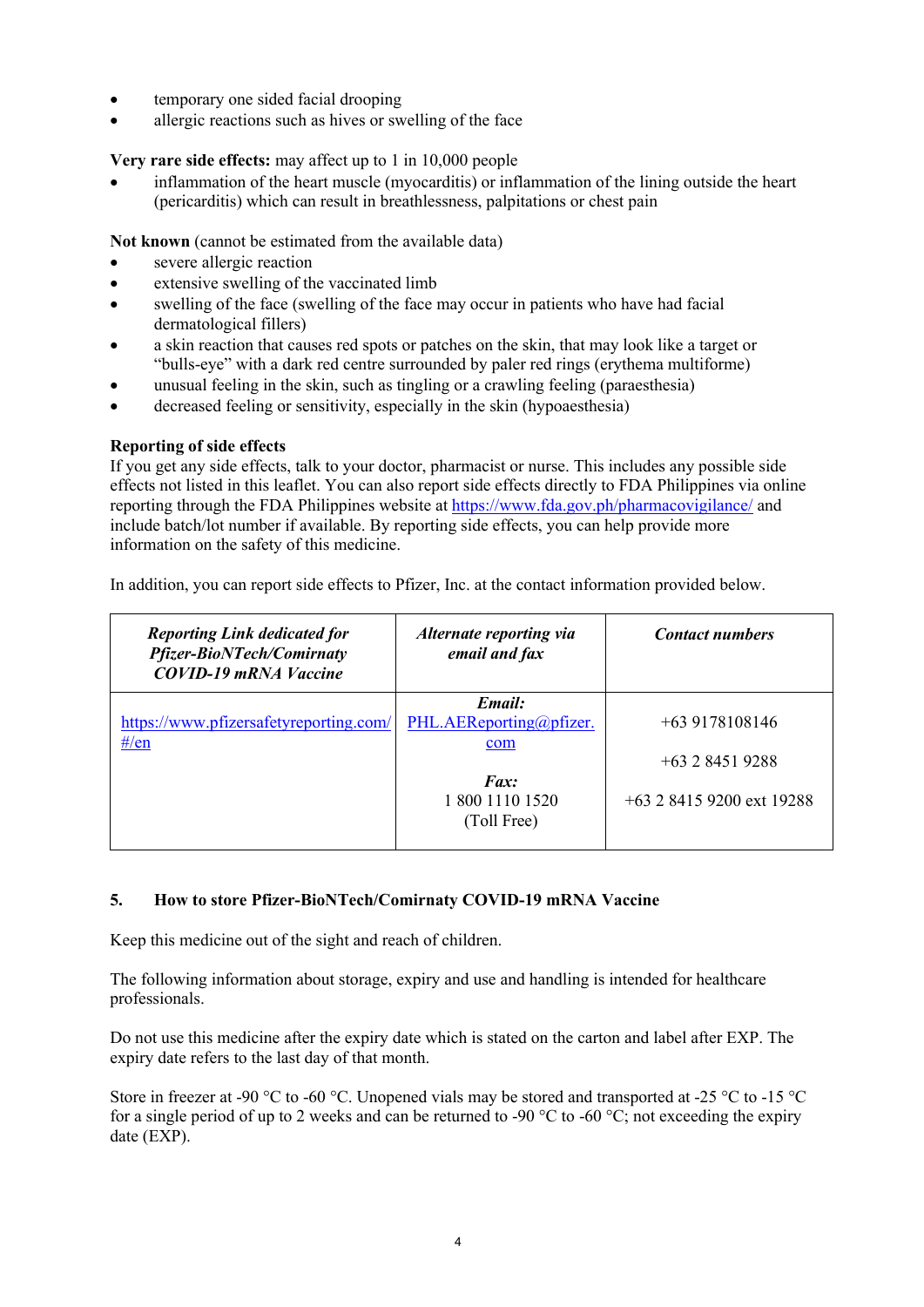- temporary one sided facial drooping
- allergic reactions such as hives or swelling of the face

**Very rare side effects:** may affect up to 1 in 10,000 people

 inflammation of the heart muscle (myocarditis) or inflammation of the lining outside the heart (pericarditis) which can result in breathlessness, palpitations or chest pain

**Not known** (cannot be estimated from the available data)

- severe allergic reaction
- extensive swelling of the vaccinated limb
- swelling of the face (swelling of the face may occur in patients who have had facial dermatological fillers)
- a skin reaction that causes red spots or patches on the skin, that may look like a target or "bulls-eye" with a dark red centre surrounded by paler red rings (erythema multiforme)
- unusual feeling in the skin, such as tingling or a crawling feeling (paraesthesia)
- decreased feeling or sensitivity, especially in the skin (hypoaesthesia)

## **Reporting of side effects**

If you get any side effects, talk to your doctor, pharmacist or nurse. This includes any possible side effects not listed in this leaflet. You can also report side effects directly to FDA Philippines via online reporting through the FDA Philippines website at<https://www.fda.gov.ph/pharmacovigilance/> and include batch/lot number if available. By reporting side effects, you can help provide more information on the safety of this medicine.

In addition, you can report side effects to Pfizer, Inc. at the contact information provided below.

| <b>Reporting Link dedicated for</b><br><b>Pfizer-BioNTech/Comirnaty</b><br><b>COVID-19 mRNA Vaccine</b> | <b>Alternate reporting via</b><br>email and fax                                                   | <b>Contact numbers</b>                                           |
|---------------------------------------------------------------------------------------------------------|---------------------------------------------------------------------------------------------------|------------------------------------------------------------------|
| https://www.pfizersafetyreporting.com/<br>$\#/en$                                                       | Email:<br>PHL.AEReporting@pfizer.<br>com<br>$\boldsymbol{Fax:}$<br>1 800 1110 1520<br>(Toll Free) | $+639178108146$<br>$+63284519288$<br>$+63$ 2 8415 9200 ext 19288 |

## **5. How to store Pfizer-BioNTech/Comirnaty COVID-19 mRNA Vaccine**

Keep this medicine out of the sight and reach of children.

The following information about storage, expiry and use and handling is intended for healthcare professionals.

Do not use this medicine after the expiry date which is stated on the carton and label after EXP. The expiry date refers to the last day of that month.

Store in freezer at -90 °C to -60 °C. Unopened vials may be stored and transported at -25 °C to -15 °C for a single period of up to 2 weeks and can be returned to -90 °C to -60 °C; not exceeding the expiry date (EXP).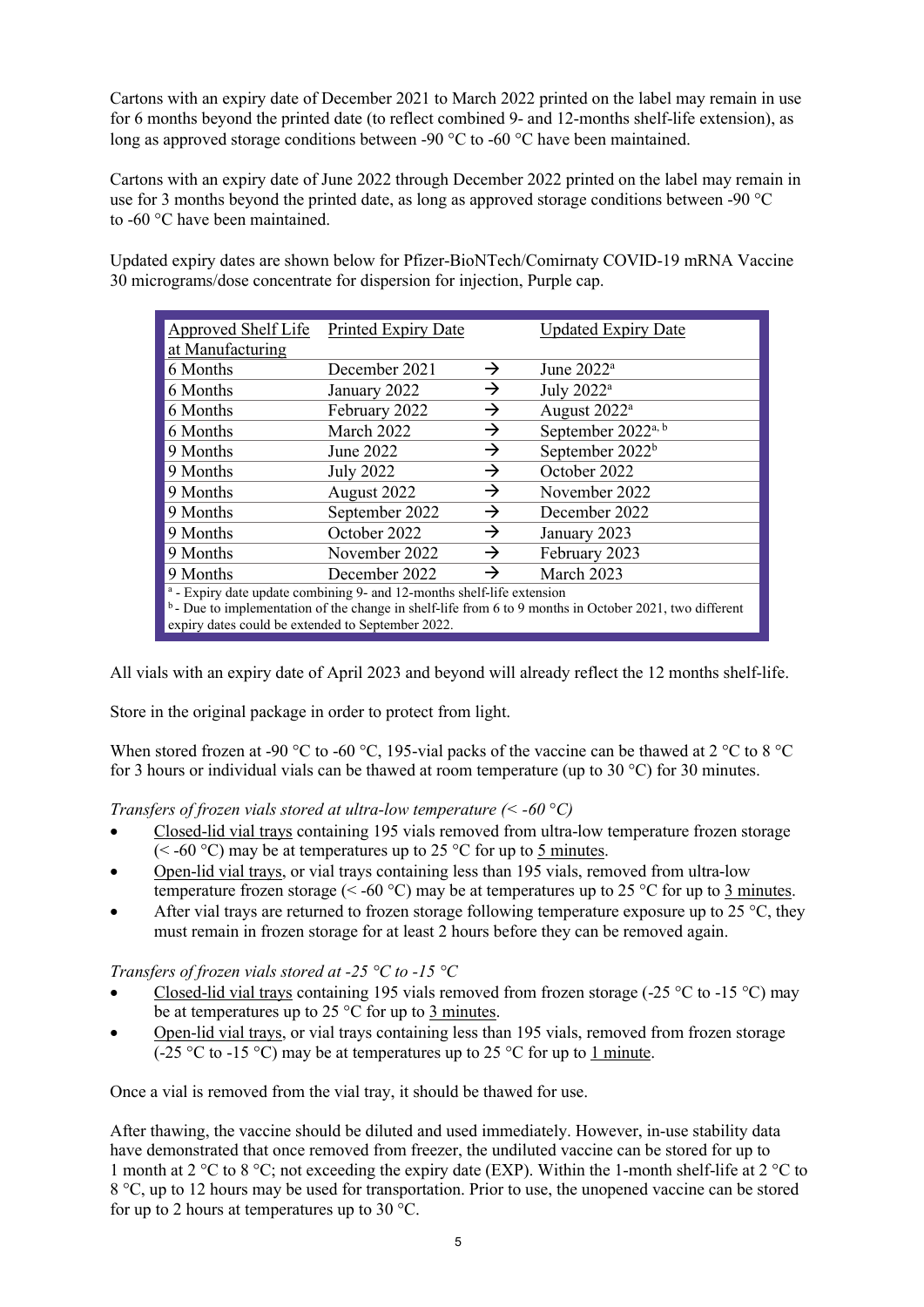Cartons with an expiry date of December 2021 to March 2022 printed on the label may remain in use for 6 months beyond the printed date (to reflect combined 9- and 12-months shelf-life extension), as long as approved storage conditions between -90  $\degree$ C to -60  $\degree$ C have been maintained.

Cartons with an expiry date of June 2022 through December 2022 printed on the label may remain in use for 3 months beyond the printed date, as long as approved storage conditions between -90 °C to -60 °C have been maintained.

Updated expiry dates are shown below for Pfizer-BioNTech/Comirnaty COVID-19 mRNA Vaccine 30 micrograms/dose concentrate for dispersion for injection, Purple cap.

| Approved Shelf Life                                                                                       | Printed Expiry Date |               | <b>Updated Expiry Date</b>     |  |  |
|-----------------------------------------------------------------------------------------------------------|---------------------|---------------|--------------------------------|--|--|
| at Manufacturing                                                                                          |                     |               |                                |  |  |
| 6 Months                                                                                                  | December 2021       | $\rightarrow$ | June 2022 <sup>a</sup>         |  |  |
| 6 Months                                                                                                  | January 2022        | $\rightarrow$ | July 2022 <sup>a</sup>         |  |  |
| 6 Months                                                                                                  | February 2022       | $\rightarrow$ | August 2022 <sup>a</sup>       |  |  |
| 6 Months                                                                                                  | March 2022          | $\rightarrow$ | September 2022 <sup>a, b</sup> |  |  |
| 9 Months                                                                                                  | June 2022           | $\rightarrow$ | September 2022 <sup>b</sup>    |  |  |
| 9 Months                                                                                                  | <b>July 2022</b>    | $\rightarrow$ | October 2022                   |  |  |
| 9 Months                                                                                                  | August 2022         | $\rightarrow$ | November 2022                  |  |  |
| 9 Months                                                                                                  | September 2022      | $\rightarrow$ | December 2022                  |  |  |
| 9 Months                                                                                                  | October 2022        | $\rightarrow$ | January 2023                   |  |  |
| 9 Months                                                                                                  | November 2022       | $\rightarrow$ | February 2023                  |  |  |
| 9 Months                                                                                                  | December 2022       | →             | March 2023                     |  |  |
| <sup>a</sup> - Expiry date update combining 9- and 12-months shelf-life extension                         |                     |               |                                |  |  |
| $b$ - Due to implementation of the change in shelf-life from 6 to 9 months in October 2021, two different |                     |               |                                |  |  |
| expiry dates could be extended to September 2022.                                                         |                     |               |                                |  |  |

All vials with an expiry date of April 2023 and beyond will already reflect the 12 months shelf-life.

Store in the original package in order to protect from light.

When stored frozen at -90 °C to -60 °C, 195-vial packs of the vaccine can be thawed at 2 °C to 8 °C for 3 hours or individual vials can be thawed at room temperature (up to 30 °C) for 30 minutes.

*Transfers of frozen vials stored at ultra-low temperature (< -60* °*C)*

- Closed-lid vial trays containing 195 vials removed from ultra-low temperature frozen storage ( $\leq$  -60 °C) may be at temperatures up to 25 °C for up to 5 minutes.
- Open-lid vial trays, or vial trays containing less than 195 vials, removed from ultra-low temperature frozen storage ( $\leq$  -60 °C) may be at temperatures up to 25 °C for up to 3 minutes.
- After vial trays are returned to frozen storage following temperature exposure up to 25  $^{\circ}$ C, they must remain in frozen storage for at least 2 hours before they can be removed again.

*Transfers of frozen vials stored at -25 °C to -15 °C*

- Closed-lid vial trays containing 195 vials removed from frozen storage (-25 °C to -15 °C) may be at temperatures up to  $25^{\circ}$ C for up to 3 minutes.
- Open-lid vial trays, or vial trays containing less than 195 vials, removed from frozen storage  $(-25 \degree C)$  to -15 °C) may be at temperatures up to 25 °C for up to 1 minute.

Once a vial is removed from the vial tray, it should be thawed for use.

After thawing, the vaccine should be diluted and used immediately. However, in-use stability data have demonstrated that once removed from freezer, the undiluted vaccine can be stored for up to 1 month at 2 °C to 8 °C; not exceeding the expiry date (EXP). Within the 1-month shelf-life at 2 °C to 8 °C, up to 12 hours may be used for transportation. Prior to use, the unopened vaccine can be stored for up to 2 hours at temperatures up to 30 °C.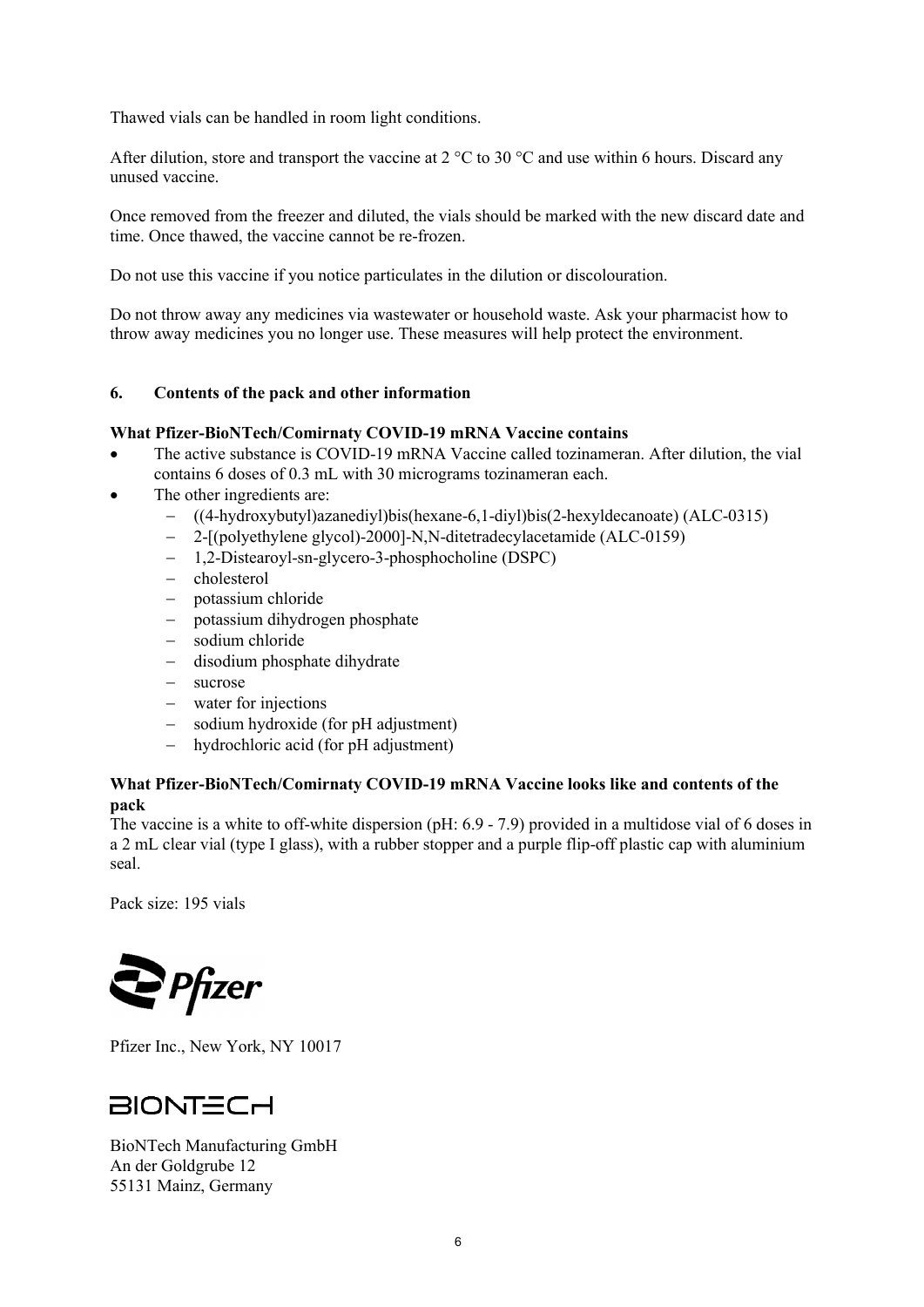Thawed vials can be handled in room light conditions.

After dilution, store and transport the vaccine at 2  $^{\circ}$ C to 30  $^{\circ}$ C and use within 6 hours. Discard any unused vaccine.

Once removed from the freezer and diluted, the vials should be marked with the new discard date and time. Once thawed, the vaccine cannot be re-frozen.

Do not use this vaccine if you notice particulates in the dilution or discolouration.

Do not throw away any medicines via wastewater or household waste. Ask your pharmacist how to throw away medicines you no longer use. These measures will help protect the environment.

## **6. Contents of the pack and other information**

## **What Pfizer-BioNTech/Comirnaty COVID-19 mRNA Vaccine contains**

- The active substance is COVID-19 mRNA Vaccine called tozinameran. After dilution, the vial contains 6 doses of 0.3 mL with 30 micrograms tozinameran each.
- The other ingredients are:
	- ((4-hydroxybutyl)azanediyl)bis(hexane-6,1-diyl)bis(2-hexyldecanoate) (ALC-0315)
	- 2-[(polyethylene glycol)-2000]-N,N-ditetradecylacetamide (ALC-0159)
	- 1,2-Distearoyl-sn-glycero-3-phosphocholine (DSPC)
	- cholesterol
	- potassium chloride
	- potassium dihydrogen phosphate
	- sodium chloride
	- disodium phosphate dihydrate
	- sucrose
	- water for injections
	- sodium hydroxide (for pH adjustment)
	- hydrochloric acid (for pH adjustment)

## **What Pfizer-BioNTech/Comirnaty COVID-19 mRNA Vaccine looks like and contents of the pack**

The vaccine is a white to off-white dispersion (pH: 6.9 - 7.9) provided in a multidose vial of 6 doses in a 2 mL clear vial (type I glass), with a rubber stopper and a purple flip-off plastic cap with aluminium seal.

Pack size: 195 vials



Pfizer Inc., New York, NY 10017

# **BIONTECH**

BioNTech Manufacturing GmbH An der Goldgrube 12 55131 Mainz, Germany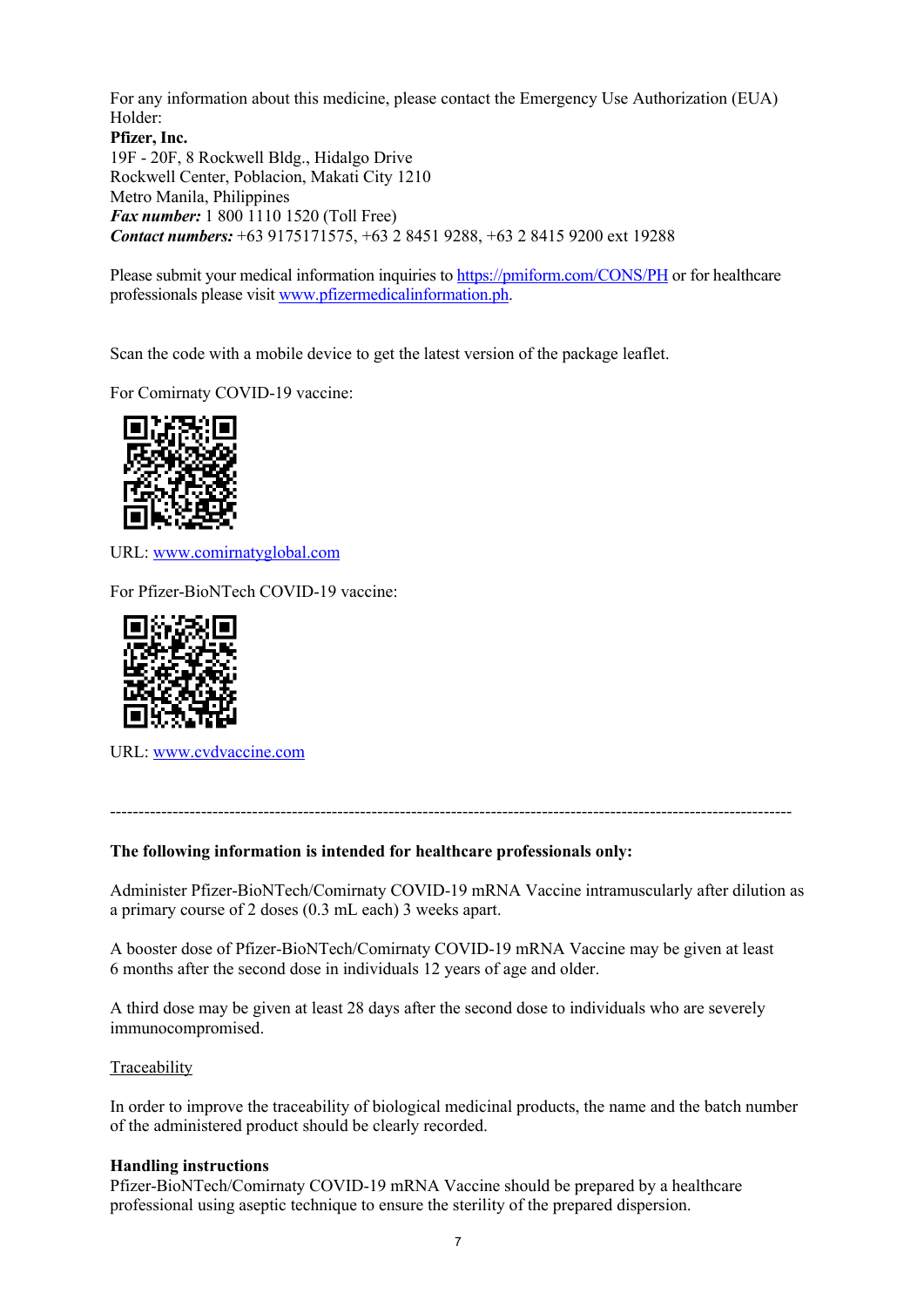For any information about this medicine, please contact the Emergency Use Authorization (EUA) Holder:

**Pfizer, Inc.** 19F - 20F, 8 Rockwell Bldg., Hidalgo Drive Rockwell Center, Poblacion, Makati City 1210 Metro Manila, Philippines *Fax number:* 1 800 1110 1520 (Toll Free) *Contact numbers:* +63 9175171575, +63 2 8451 9288, +63 2 8415 9200 ext 19288

Please submit your medical information inquiries to<https://pmiform.com/CONS/PH> or for healthcare professionals please visit [www.pfizermedicalinformation.ph.](http://www.pfizermedicalinformation.ph/)

Scan the code with a mobile device to get the latest version of the package leaflet.

For Comirnaty COVID-19 vaccine:



URL: [www.comirnatyglobal.com](http://www.comirnatyglobal.com/)

For Pfizer-BioNTech COVID-19 vaccine:



URL: [www.cvdvaccine.com](http://www.cvdvaccine.com/)

## ------------------------------------------------------------------------------------------------------------------------

## **The following information is intended for healthcare professionals only:**

Administer Pfizer-BioNTech/Comirnaty COVID-19 mRNA Vaccine intramuscularly after dilution as a primary course of 2 doses (0.3 mL each) 3 weeks apart.

A booster dose of Pfizer-BioNTech/Comirnaty COVID-19 mRNA Vaccine may be given at least 6 months after the second dose in individuals 12 years of age and older.

A third dose may be given at least 28 days after the second dose to individuals who are severely immunocompromised.

Traceability

In order to improve the traceability of biological medicinal products, the name and the batch number of the administered product should be clearly recorded.

#### **Handling instructions**

Pfizer-BioNTech/Comirnaty COVID-19 mRNA Vaccine should be prepared by a healthcare professional using aseptic technique to ensure the sterility of the prepared dispersion.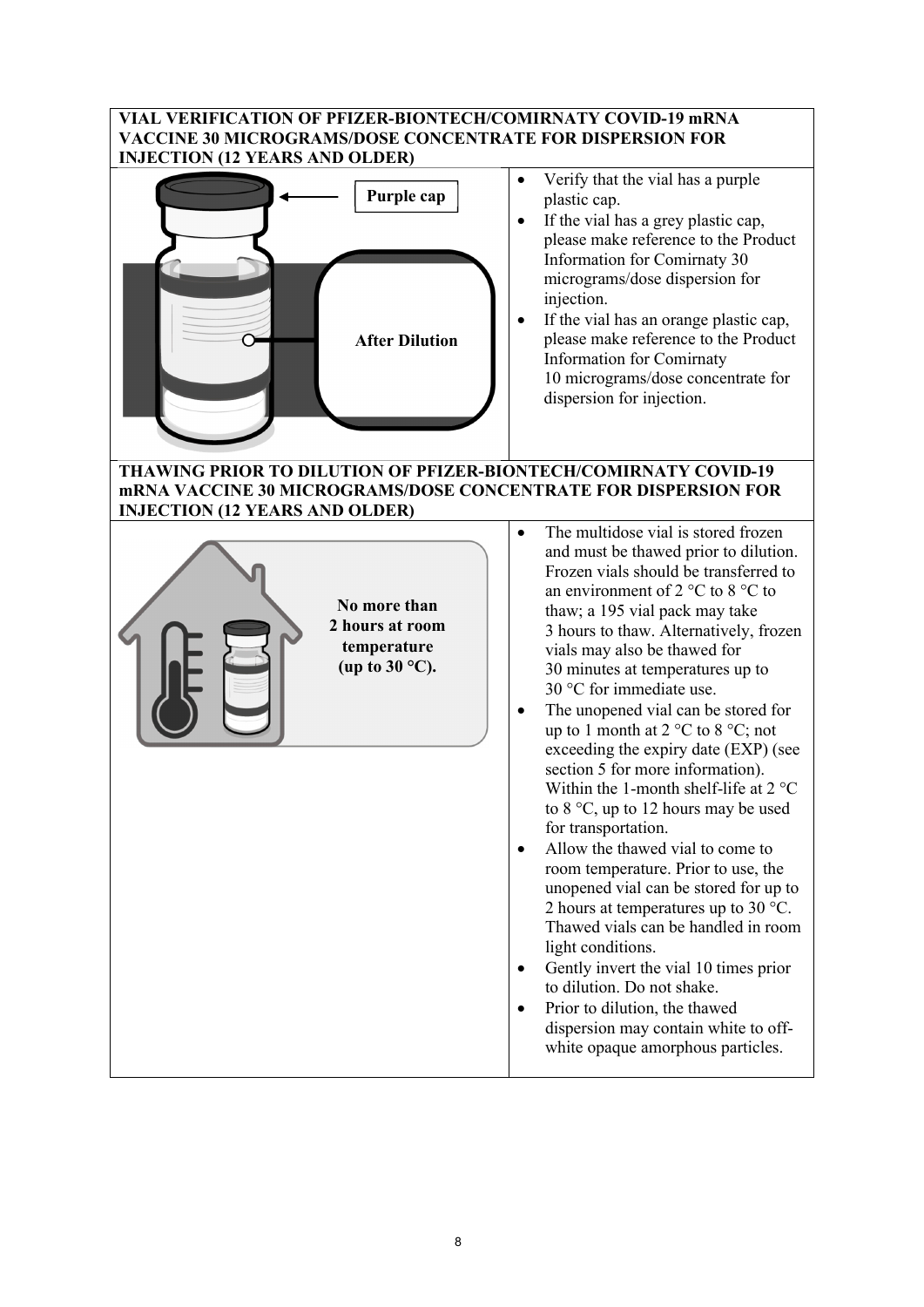## **VIAL VERIFICATION OF PFIZER-BIONTECH/COMIRNATY COVID-19 mRNA VACCINE 30 MICROGRAMS/DOSE CONCENTRATE FOR DISPERSION FOR INJECTION (12 YEARS AND OLDER)**

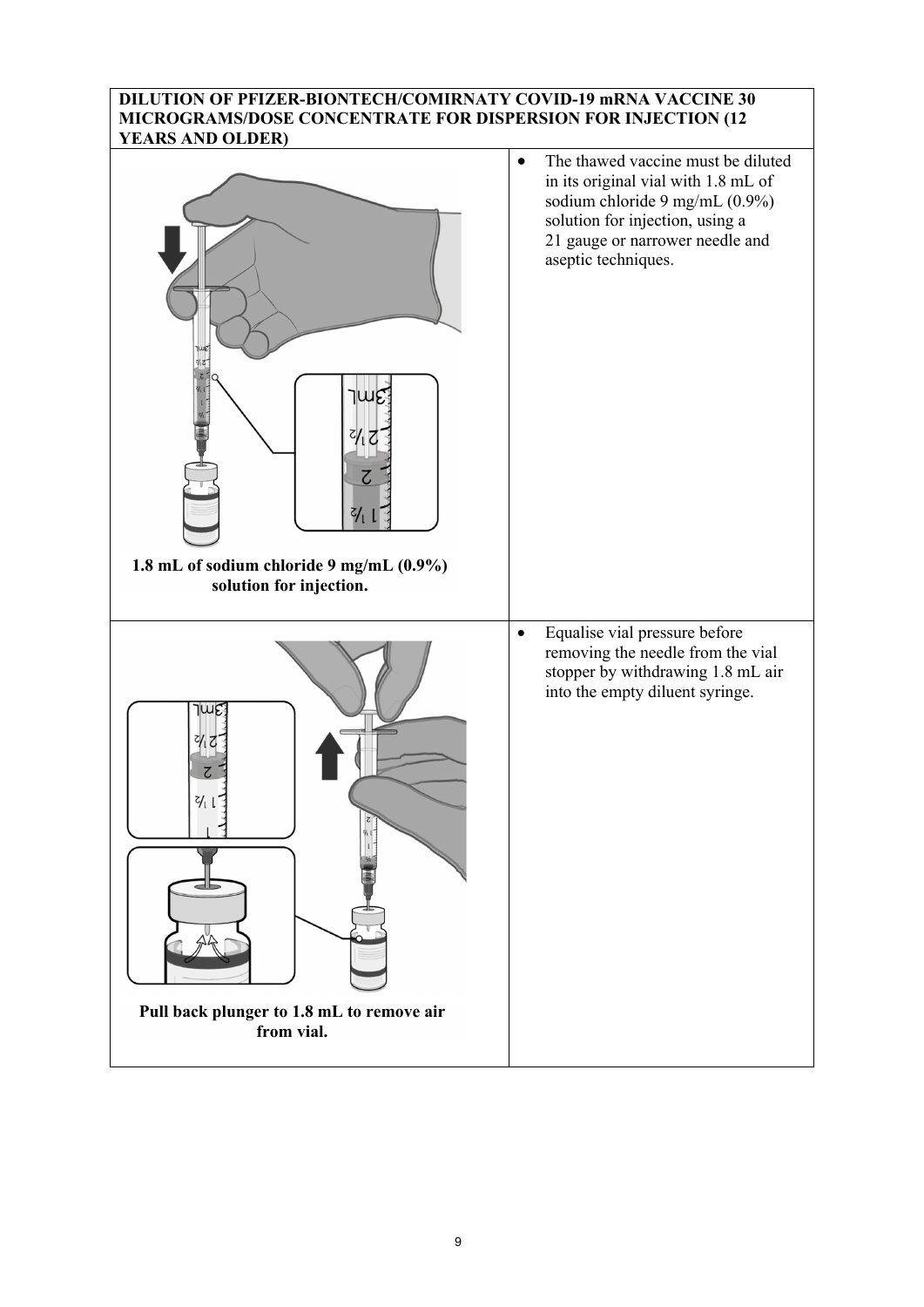## **DILUTION OF PFIZER-BIONTECH/COMIRNATY COVID-19 mRNA VACCINE 30 MICROGRAMS/DOSE CONCENTRATE FOR DISPERSION FOR INJECTION (12 YEARS AND OLDER)**

| ય′<br>1.8 mL of sodium chloride 9 mg/mL (0.9%)<br>solution for injection. | $\bullet$ | The thawed vaccine must be diluted<br>in its original vial with 1.8 mL of<br>sodium chloride 9 mg/mL (0.9%)<br>solution for injection, using a<br>21 gauge or narrower needle and<br>aseptic techniques. |
|---------------------------------------------------------------------------|-----------|----------------------------------------------------------------------------------------------------------------------------------------------------------------------------------------------------------|
| uл<br>4 l                                                                 | $\bullet$ | Equalise vial pressure before<br>removing the needle from the vial<br>stopper by withdrawing 1.8 mL air<br>into the empty diluent syringe.                                                               |
| Pull back plunger to 1.8 mL to remove air<br>from vial.                   |           |                                                                                                                                                                                                          |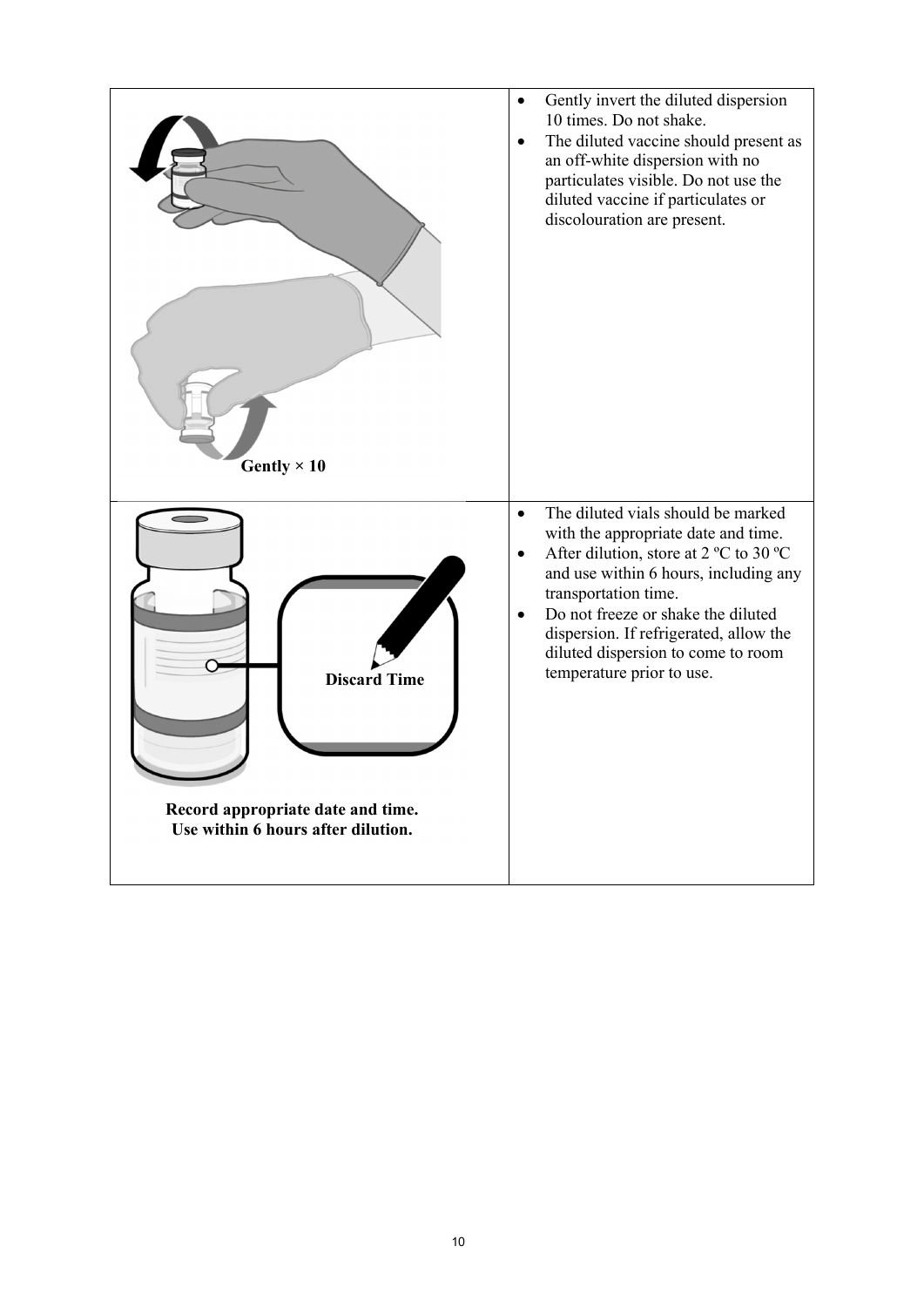